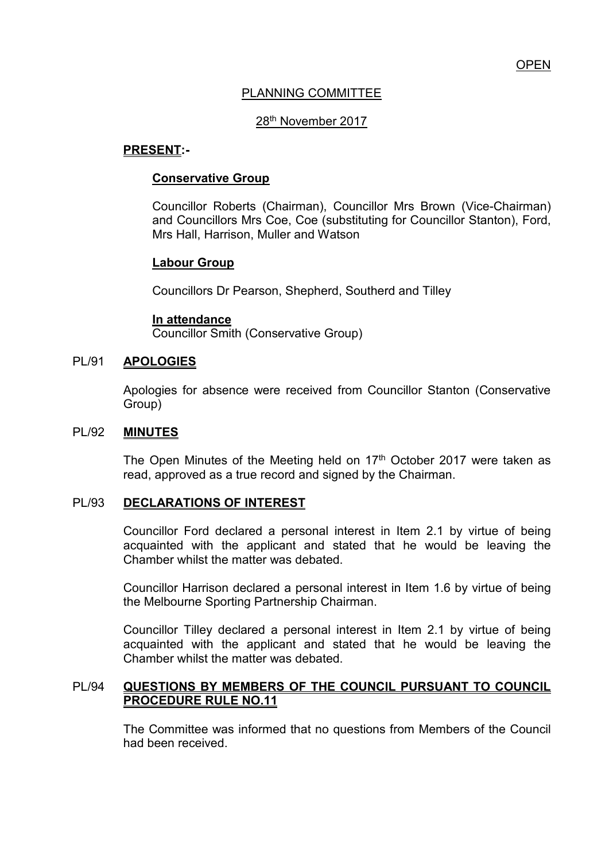# PLANNING COMMITTEE

## 28th November 2017

#### **PRESENT:-**

#### **Conservative Group**

Councillor Roberts (Chairman), Councillor Mrs Brown (Vice-Chairman) and Councillors Mrs Coe, Coe (substituting for Councillor Stanton), Ford, Mrs Hall, Harrison, Muller and Watson

## **Labour Group**

Councillors Dr Pearson, Shepherd, Southerd and Tilley

#### **In attendance**

Councillor Smith (Conservative Group)

#### PL/91 **APOLOGIES**

Apologies for absence were received from Councillor Stanton (Conservative Group)

#### PL/92 **MINUTES**

The Open Minutes of the Meeting held on 17<sup>th</sup> October 2017 were taken as read, approved as a true record and signed by the Chairman.

#### PL/93 **DECLARATIONS OF INTEREST**

 Councillor Ford declared a personal interest in Item 2.1 by virtue of being acquainted with the applicant and stated that he would be leaving the Chamber whilst the matter was debated.

 Councillor Harrison declared a personal interest in Item 1.6 by virtue of being the Melbourne Sporting Partnership Chairman.

 Councillor Tilley declared a personal interest in Item 2.1 by virtue of being acquainted with the applicant and stated that he would be leaving the Chamber whilst the matter was debated.

## PL/94 **QUESTIONS BY MEMBERS OF THE COUNCIL PURSUANT TO COUNCIL PROCEDURE RULE NO.11**

 The Committee was informed that no questions from Members of the Council had been received.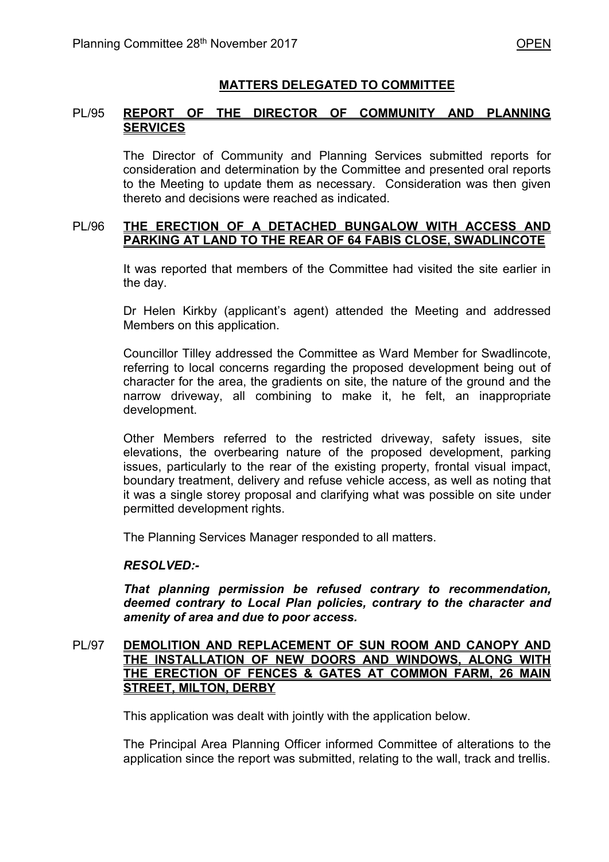# **MATTERS DELEGATED TO COMMITTEE**

# PL/95 **REPORT OF THE DIRECTOR OF COMMUNITY AND PLANNING SERVICES**

The Director of Community and Planning Services submitted reports for consideration and determination by the Committee and presented oral reports to the Meeting to update them as necessary. Consideration was then given thereto and decisions were reached as indicated.

# PL/96 **THE ERECTION OF A DETACHED BUNGALOW WITH ACCESS AND PARKING AT LAND TO THE REAR OF 64 FABIS CLOSE, SWADLINCOTE**

It was reported that members of the Committee had visited the site earlier in the day.

 Dr Helen Kirkby (applicant's agent) attended the Meeting and addressed Members on this application.

 Councillor Tilley addressed the Committee as Ward Member for Swadlincote, referring to local concerns regarding the proposed development being out of character for the area, the gradients on site, the nature of the ground and the narrow driveway, all combining to make it, he felt, an inappropriate development.

Other Members referred to the restricted driveway, safety issues, site elevations, the overbearing nature of the proposed development, parking issues, particularly to the rear of the existing property, frontal visual impact, boundary treatment, delivery and refuse vehicle access, as well as noting that it was a single storey proposal and clarifying what was possible on site under permitted development rights.

The Planning Services Manager responded to all matters.

## *RESOLVED:-*

*That planning permission be refused contrary to recommendation, deemed contrary to Local Plan policies, contrary to the character and amenity of area and due to poor access.* 

# PL/97 **DEMOLITION AND REPLACEMENT OF SUN ROOM AND CANOPY AND THE INSTALLATION OF NEW DOORS AND WINDOWS, ALONG WITH THE ERECTION OF FENCES & GATES AT COMMON FARM, 26 MAIN STREET, MILTON, DERBY**

This application was dealt with jointly with the application below.

 The Principal Area Planning Officer informed Committee of alterations to the application since the report was submitted, relating to the wall, track and trellis.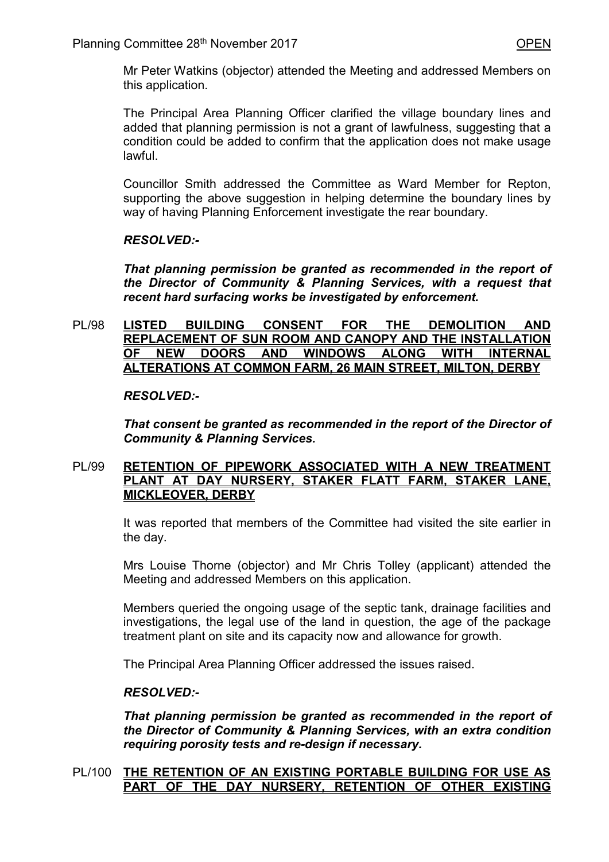Mr Peter Watkins (objector) attended the Meeting and addressed Members on this application.

 The Principal Area Planning Officer clarified the village boundary lines and added that planning permission is not a grant of lawfulness, suggesting that a condition could be added to confirm that the application does not make usage lawful.

 Councillor Smith addressed the Committee as Ward Member for Repton, supporting the above suggestion in helping determine the boundary lines by way of having Planning Enforcement investigate the rear boundary.

## *RESOLVED:-*

*That planning permission be granted as recommended in the report of the Director of Community & Planning Services, with a request that recent hard surfacing works be investigated by enforcement.* 

PL/98 **LISTED BUILDING CONSENT FOR THE DEMOLITION AND REPLACEMENT OF SUN ROOM AND CANOPY AND THE INSTALLATION OF NEW DOORS AND WINDOWS ALONG WITH INTERNAL ALTERATIONS AT COMMON FARM, 26 MAIN STREET, MILTON, DERBY** 

## *RESOLVED:-*

*That consent be granted as recommended in the report of the Director of Community & Planning Services.* 

## PL/99 **RETENTION OF PIPEWORK ASSOCIATED WITH A NEW TREATMENT PLANT AT DAY NURSERY, STAKER FLATT FARM, STAKER LANE, MICKLEOVER, DERBY**

It was reported that members of the Committee had visited the site earlier in the day.

Mrs Louise Thorne (objector) and Mr Chris Tolley (applicant) attended the Meeting and addressed Members on this application.

Members queried the ongoing usage of the septic tank, drainage facilities and investigations, the legal use of the land in question, the age of the package treatment plant on site and its capacity now and allowance for growth.

The Principal Area Planning Officer addressed the issues raised.

## *RESOLVED:-*

*That planning permission be granted as recommended in the report of the Director of Community & Planning Services, with an extra condition requiring porosity tests and re-design if necessary.* 

## PL/100 **THE RETENTION OF AN EXISTING PORTABLE BUILDING FOR USE AS PART OF THE DAY NURSERY, RETENTION OF OTHER EXISTING**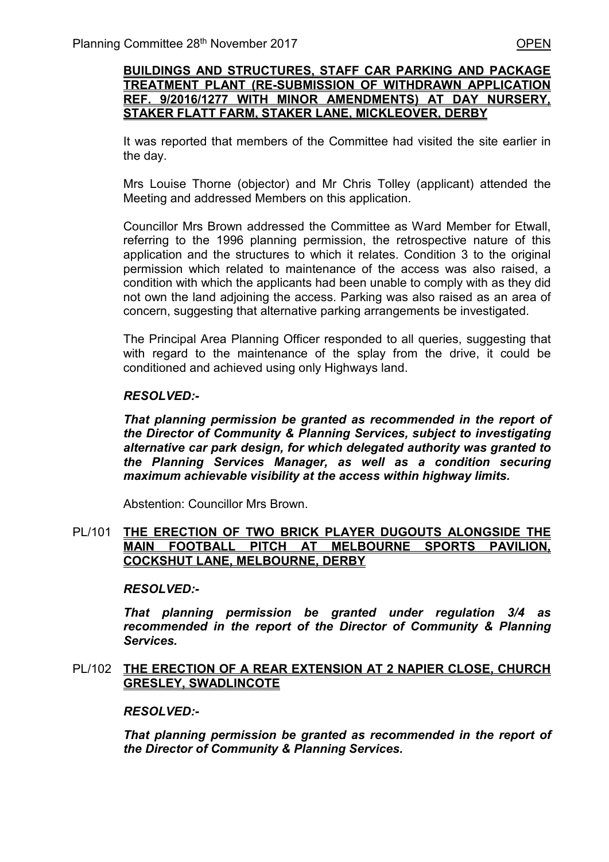## **BUILDINGS AND STRUCTURES, STAFF CAR PARKING AND PACKAGE TREATMENT PLANT (RE-SUBMISSION OF WITHDRAWN APPLICATION REF. 9/2016/1277 WITH MINOR AMENDMENTS) AT DAY NURSERY, STAKER FLATT FARM, STAKER LANE, MICKLEOVER, DERBY**

 It was reported that members of the Committee had visited the site earlier in the day.

Mrs Louise Thorne (objector) and Mr Chris Tolley (applicant) attended the Meeting and addressed Members on this application.

 Councillor Mrs Brown addressed the Committee as Ward Member for Etwall, referring to the 1996 planning permission, the retrospective nature of this application and the structures to which it relates. Condition 3 to the original permission which related to maintenance of the access was also raised, a condition with which the applicants had been unable to comply with as they did not own the land adjoining the access. Parking was also raised as an area of concern, suggesting that alternative parking arrangements be investigated.

 The Principal Area Planning Officer responded to all queries, suggesting that with regard to the maintenance of the splay from the drive, it could be conditioned and achieved using only Highways land.

## *RESOLVED:-*

*That planning permission be granted as recommended in the report of the Director of Community & Planning Services, subject to investigating alternative car park design, for which delegated authority was granted to the Planning Services Manager, as well as a condition securing maximum achievable visibility at the access within highway limits.*

Abstention: Councillor Mrs Brown.

#### PL/101 **THE ERECTION OF TWO BRICK PLAYER DUGOUTS ALONGSIDE THE MAIN FOOTBALL PITCH AT MELBOURNE SPORTS PAVILION, COCKSHUT LANE, MELBOURNE, DERBY**

## *RESOLVED:-*

*That planning permission be granted under regulation 3/4 as recommended in the report of the Director of Community & Planning Services.* 

## PL/102 **THE ERECTION OF A REAR EXTENSION AT 2 NAPIER CLOSE, CHURCH GRESLEY, SWADLINCOTE**

## *RESOLVED:-*

*That planning permission be granted as recommended in the report of the Director of Community & Planning Services.*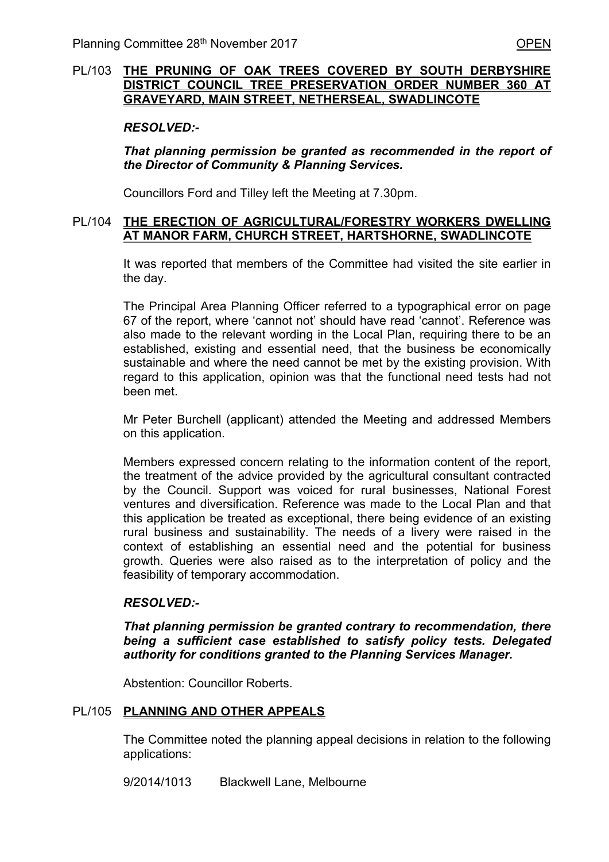# PL/103 **THE PRUNING OF OAK TREES COVERED BY SOUTH DERBYSHIRE DISTRICT COUNCIL TREE PRESERVATION ORDER NUMBER 360 AT GRAVEYARD, MAIN STREET, NETHERSEAL, SWADLINCOTE**

#### *RESOLVED:-*

*That planning permission be granted as recommended in the report of the Director of Community & Planning Services.* 

Councillors Ford and Tilley left the Meeting at 7.30pm.

## PL/104 **THE ERECTION OF AGRICULTURAL/FORESTRY WORKERS DWELLING AT MANOR FARM, CHURCH STREET, HARTSHORNE, SWADLINCOTE**

 It was reported that members of the Committee had visited the site earlier in the day.

 The Principal Area Planning Officer referred to a typographical error on page 67 of the report, where 'cannot not' should have read 'cannot'. Reference was also made to the relevant wording in the Local Plan, requiring there to be an established, existing and essential need, that the business be economically sustainable and where the need cannot be met by the existing provision. With regard to this application, opinion was that the functional need tests had not been met.

Mr Peter Burchell (applicant) attended the Meeting and addressed Members on this application.

Members expressed concern relating to the information content of the report, the treatment of the advice provided by the agricultural consultant contracted by the Council. Support was voiced for rural businesses, National Forest ventures and diversification. Reference was made to the Local Plan and that this application be treated as exceptional, there being evidence of an existing rural business and sustainability. The needs of a livery were raised in the context of establishing an essential need and the potential for business growth. Queries were also raised as to the interpretation of policy and the feasibility of temporary accommodation.

## *RESOLVED:-*

*That planning permission be granted contrary to recommendation, there being a sufficient case established to satisfy policy tests. Delegated authority for conditions granted to the Planning Services Manager.* 

Abstention: Councillor Roberts.

## PL/105 **PLANNING AND OTHER APPEALS**

 The Committee noted the planning appeal decisions in relation to the following applications:

9/2014/1013 Blackwell Lane, Melbourne